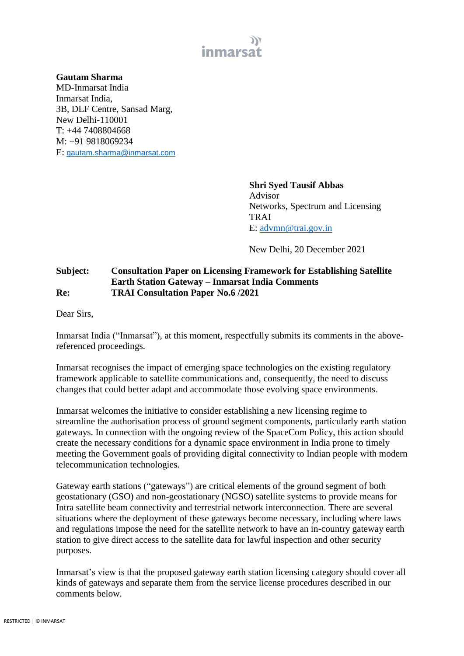

## **Gautam Sharma**

MD-Inmarsat India Inmarsat India, 3B, DLF Centre, Sansad Marg, New Delhi-110001 T: +44 7408804668 M: +91 9818069234 E: [gautam.sharma@inmarsat.com](mailto:gautam.sharma@inmarsat.com)

> **Shri Syed Tausif Abbas** Advisor Networks, Spectrum and Licensing TRAI E: [advmn@trai.gov.in](mailto:advmn@trai.gov.in)

New Delhi, 20 December 2021

## **Subject: Consultation Paper on Licensing Framework for Establishing Satellite Earth Station Gateway – Inmarsat India Comments Re: TRAI Consultation Paper No.6 /2021**

Dear Sirs,

Inmarsat India ("Inmarsat"), at this moment, respectfully submits its comments in the abovereferenced proceedings.

Inmarsat recognises the impact of emerging space technologies on the existing regulatory framework applicable to satellite communications and, consequently, the need to discuss changes that could better adapt and accommodate those evolving space environments.

Inmarsat welcomes the initiative to consider establishing a new licensing regime to streamline the authorisation process of ground segment components, particularly earth station gateways. In connection with the ongoing review of the SpaceCom Policy, this action should create the necessary conditions for a dynamic space environment in India prone to timely meeting the Government goals of providing digital connectivity to Indian people with modern telecommunication technologies.

Gateway earth stations ("gateways") are critical elements of the ground segment of both geostationary (GSO) and non-geostationary (NGSO) satellite systems to provide means for Intra satellite beam connectivity and terrestrial network interconnection. There are several situations where the deployment of these gateways become necessary, including where laws and regulations impose the need for the satellite network to have an in-country gateway earth station to give direct access to the satellite data for lawful inspection and other security purposes.

Inmarsat's view is that the proposed gateway earth station licensing category should cover all kinds of gateways and separate them from the service license procedures described in our comments below.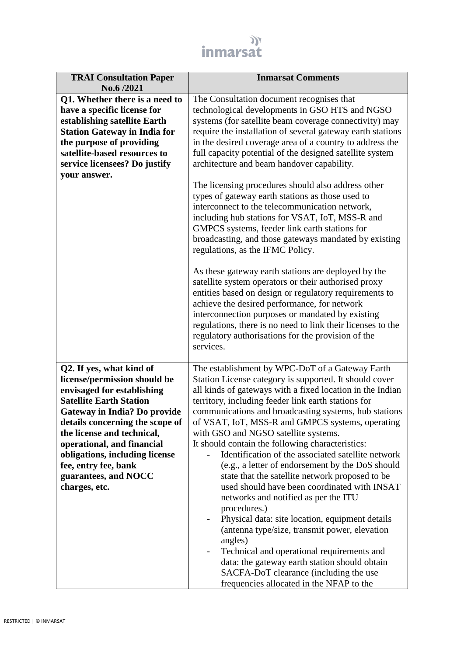

| <b>TRAI Consultation Paper</b><br>No.6 /2021                                                                                                                                                                                                      | <b>Inmarsat Comments</b>                                                                                                                                                                                                                                                                                                                                                                                                                        |
|---------------------------------------------------------------------------------------------------------------------------------------------------------------------------------------------------------------------------------------------------|-------------------------------------------------------------------------------------------------------------------------------------------------------------------------------------------------------------------------------------------------------------------------------------------------------------------------------------------------------------------------------------------------------------------------------------------------|
| Q1. Whether there is a need to<br>have a specific license for<br>establishing satellite Earth<br><b>Station Gateway in India for</b><br>the purpose of providing<br>satellite-based resources to<br>service licensees? Do justify<br>your answer. | The Consultation document recognises that<br>technological developments in GSO HTS and NGSO<br>systems (for satellite beam coverage connectivity) may<br>require the installation of several gateway earth stations<br>in the desired coverage area of a country to address the<br>full capacity potential of the designed satellite system<br>architecture and beam handover capability.<br>The licensing procedures should also address other |
|                                                                                                                                                                                                                                                   | types of gateway earth stations as those used to<br>interconnect to the telecommunication network,<br>including hub stations for VSAT, IoT, MSS-R and<br>GMPCS systems, feeder link earth stations for<br>broadcasting, and those gateways mandated by existing<br>regulations, as the IFMC Policy.                                                                                                                                             |
|                                                                                                                                                                                                                                                   | As these gateway earth stations are deployed by the<br>satellite system operators or their authorised proxy<br>entities based on design or regulatory requirements to<br>achieve the desired performance, for network<br>interconnection purposes or mandated by existing<br>regulations, there is no need to link their licenses to the<br>regulatory authorisations for the provision of the<br>services.                                     |
| Q2. If yes, what kind of                                                                                                                                                                                                                          | The establishment by WPC-DoT of a Gateway Earth                                                                                                                                                                                                                                                                                                                                                                                                 |
| license/permission should be                                                                                                                                                                                                                      | Station License category is supported. It should cover                                                                                                                                                                                                                                                                                                                                                                                          |
| envisaged for establishing<br><b>Satellite Earth Station</b>                                                                                                                                                                                      | all kinds of gateways with a fixed location in the Indian                                                                                                                                                                                                                                                                                                                                                                                       |
| <b>Gateway in India? Do provide</b>                                                                                                                                                                                                               | territory, including feeder link earth stations for<br>communications and broadcasting systems, hub stations                                                                                                                                                                                                                                                                                                                                    |
| details concerning the scope of                                                                                                                                                                                                                   | of VSAT, IoT, MSS-R and GMPCS systems, operating                                                                                                                                                                                                                                                                                                                                                                                                |
| the license and technical,                                                                                                                                                                                                                        | with GSO and NGSO satellite systems.                                                                                                                                                                                                                                                                                                                                                                                                            |
| operational, and financial                                                                                                                                                                                                                        | It should contain the following characteristics:                                                                                                                                                                                                                                                                                                                                                                                                |
| obligations, including license                                                                                                                                                                                                                    | Identification of the associated satellite network                                                                                                                                                                                                                                                                                                                                                                                              |
| fee, entry fee, bank                                                                                                                                                                                                                              | (e.g., a letter of endorsement by the DoS should                                                                                                                                                                                                                                                                                                                                                                                                |
| guarantees, and NOCC                                                                                                                                                                                                                              | state that the satellite network proposed to be                                                                                                                                                                                                                                                                                                                                                                                                 |
| charges, etc.                                                                                                                                                                                                                                     | used should have been coordinated with INSAT<br>networks and notified as per the ITU                                                                                                                                                                                                                                                                                                                                                            |
|                                                                                                                                                                                                                                                   | procedures.)                                                                                                                                                                                                                                                                                                                                                                                                                                    |
|                                                                                                                                                                                                                                                   |                                                                                                                                                                                                                                                                                                                                                                                                                                                 |
|                                                                                                                                                                                                                                                   | $\overline{\phantom{0}}$                                                                                                                                                                                                                                                                                                                                                                                                                        |
|                                                                                                                                                                                                                                                   | Physical data: site location, equipment details<br>(antenna type/size, transmit power, elevation                                                                                                                                                                                                                                                                                                                                                |
|                                                                                                                                                                                                                                                   | angles)<br>Technical and operational requirements and<br>$\overline{\phantom{0}}$                                                                                                                                                                                                                                                                                                                                                               |
|                                                                                                                                                                                                                                                   | data: the gateway earth station should obtain<br>SACFA-DoT clearance (including the use                                                                                                                                                                                                                                                                                                                                                         |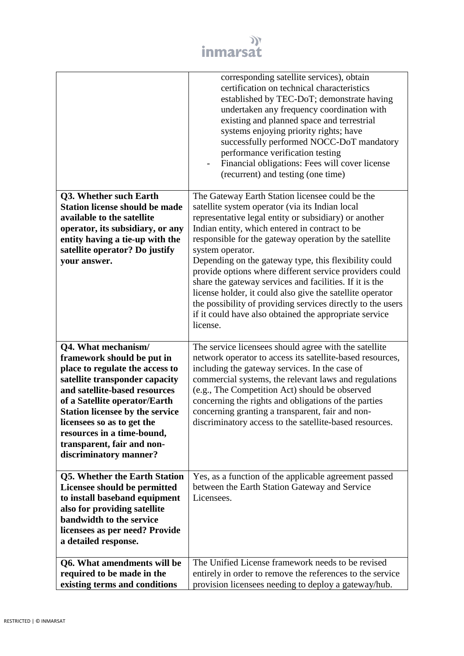

|                                                                                                                                                                                                                                                                                                                                                        | corresponding satellite services), obtain<br>certification on technical characteristics<br>established by TEC-DoT; demonstrate having<br>undertaken any frequency coordination with<br>existing and planned space and terrestrial<br>systems enjoying priority rights; have<br>successfully performed NOCC-DoT mandatory<br>performance verification testing<br>Financial obligations: Fees will cover license<br>(recurrent) and testing (one time)                                                                                                                                                                                                                         |
|--------------------------------------------------------------------------------------------------------------------------------------------------------------------------------------------------------------------------------------------------------------------------------------------------------------------------------------------------------|------------------------------------------------------------------------------------------------------------------------------------------------------------------------------------------------------------------------------------------------------------------------------------------------------------------------------------------------------------------------------------------------------------------------------------------------------------------------------------------------------------------------------------------------------------------------------------------------------------------------------------------------------------------------------|
| Q3. Whether such Earth<br><b>Station license should be made</b><br>available to the satellite<br>operator, its subsidiary, or any<br>entity having a tie-up with the<br>satellite operator? Do justify<br>your answer.                                                                                                                                 | The Gateway Earth Station licensee could be the<br>satellite system operator (via its Indian local<br>representative legal entity or subsidiary) or another<br>Indian entity, which entered in contract to be<br>responsible for the gateway operation by the satellite<br>system operator.<br>Depending on the gateway type, this flexibility could<br>provide options where different service providers could<br>share the gateway services and facilities. If it is the<br>license holder, it could also give the satellite operator<br>the possibility of providing services directly to the users<br>if it could have also obtained the appropriate service<br>license. |
| Q4. What mechanism/<br>framework should be put in<br>place to regulate the access to<br>satellite transponder capacity<br>and satellite-based resources<br>of a Satellite operator/Earth<br><b>Station licensee by the service</b><br>licensees so as to get the<br>resources in a time-bound,<br>transparent, fair and non-<br>discriminatory manner? | The service licensees should agree with the satellite<br>network operator to access its satellite-based resources,<br>including the gateway services. In the case of<br>commercial systems, the relevant laws and regulations<br>(e.g., The Competition Act) should be observed<br>concerning the rights and obligations of the parties<br>concerning granting a transparent, fair and non-<br>discriminatory access to the satellite-based resources.                                                                                                                                                                                                                       |
| Q5. Whether the Earth Station<br>Licensee should be permitted<br>to install baseband equipment<br>also for providing satellite<br>bandwidth to the service<br>licensees as per need? Provide<br>a detailed response.                                                                                                                                   | Yes, as a function of the applicable agreement passed<br>between the Earth Station Gateway and Service<br>Licensees.                                                                                                                                                                                                                                                                                                                                                                                                                                                                                                                                                         |
| Q6. What amendments will be<br>required to be made in the<br>existing terms and conditions                                                                                                                                                                                                                                                             | The Unified License framework needs to be revised<br>entirely in order to remove the references to the service<br>provision licensees needing to deploy a gateway/hub.                                                                                                                                                                                                                                                                                                                                                                                                                                                                                                       |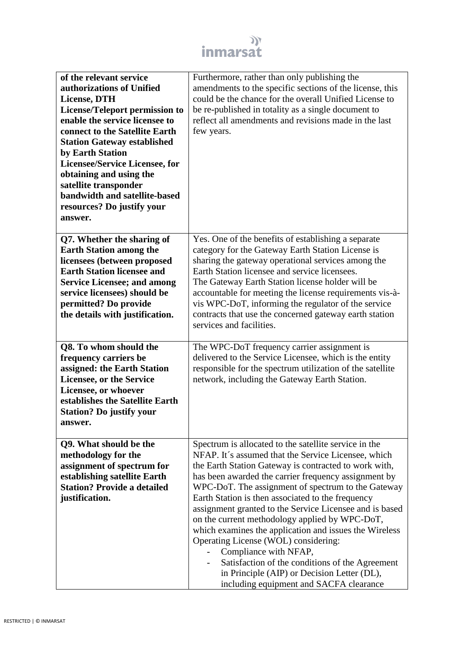

| of the relevant service<br>authorizations of Unified<br><b>License, DTH</b><br><b>License/Teleport permission to</b><br>enable the service licensee to<br>connect to the Satellite Earth<br><b>Station Gateway established</b><br>by Earth Station<br><b>Licensee/Service Licensee, for</b><br>obtaining and using the<br>satellite transponder<br>bandwidth and satellite-based<br>resources? Do justify your<br>answer. | Furthermore, rather than only publishing the<br>amendments to the specific sections of the license, this<br>could be the chance for the overall Unified License to<br>be re-published in totality as a single document to<br>reflect all amendments and revisions made in the last<br>few years.                                                                                                                                                                                                                                                                                                                                                                                                                              |
|---------------------------------------------------------------------------------------------------------------------------------------------------------------------------------------------------------------------------------------------------------------------------------------------------------------------------------------------------------------------------------------------------------------------------|-------------------------------------------------------------------------------------------------------------------------------------------------------------------------------------------------------------------------------------------------------------------------------------------------------------------------------------------------------------------------------------------------------------------------------------------------------------------------------------------------------------------------------------------------------------------------------------------------------------------------------------------------------------------------------------------------------------------------------|
| Q7. Whether the sharing of<br><b>Earth Station among the</b><br>licensees (between proposed<br><b>Earth Station licensee and</b><br><b>Service Licensee; and among</b><br>service licensees) should be<br>permitted? Do provide<br>the details with justification.                                                                                                                                                        | Yes. One of the benefits of establishing a separate<br>category for the Gateway Earth Station License is<br>sharing the gateway operational services among the<br>Earth Station licensee and service licensees.<br>The Gateway Earth Station license holder will be<br>accountable for meeting the license requirements vis-à-<br>vis WPC-DoT, informing the regulator of the service<br>contracts that use the concerned gateway earth station<br>services and facilities.                                                                                                                                                                                                                                                   |
| Q8. To whom should the<br>frequency carriers be<br>assigned: the Earth Station<br><b>Licensee, or the Service</b><br>Licensee, or whoever<br>establishes the Satellite Earth<br><b>Station? Do justify your</b><br>answer.                                                                                                                                                                                                | The WPC-DoT frequency carrier assignment is<br>delivered to the Service Licensee, which is the entity<br>responsible for the spectrum utilization of the satellite<br>network, including the Gateway Earth Station.                                                                                                                                                                                                                                                                                                                                                                                                                                                                                                           |
| Q9. What should be the<br>methodology for the<br>assignment of spectrum for<br>establishing satellite Earth<br><b>Station? Provide a detailed</b><br>justification.                                                                                                                                                                                                                                                       | Spectrum is allocated to the satellite service in the<br>NFAP. It's assumed that the Service Licensee, which<br>the Earth Station Gateway is contracted to work with,<br>has been awarded the carrier frequency assignment by<br>WPC-DoT. The assignment of spectrum to the Gateway<br>Earth Station is then associated to the frequency<br>assignment granted to the Service Licensee and is based<br>on the current methodology applied by WPC-DoT,<br>which examines the application and issues the Wireless<br>Operating License (WOL) considering:<br>Compliance with NFAP,<br>Satisfaction of the conditions of the Agreement<br>in Principle (AIP) or Decision Letter (DL),<br>including equipment and SACFA clearance |